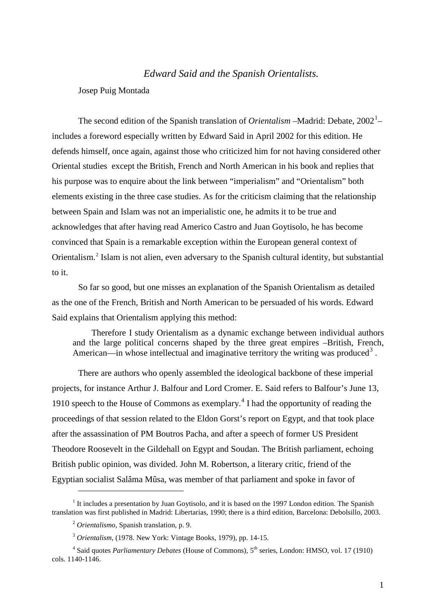# *Edward Said and the Spanish Orientalists.*

Josep Puig Montada

The second edition of the Spanish translation of *Orientalism* – Madrid: Debate, 2002<sup>[1](#page-0-0)</sup>– includes a foreword especially written by Edward Said in April 2002 for this edition. He defends himself, once again, against those who criticized him for not having considered other Oriental studies except the British, French and North American in his book and replies that his purpose was to enquire about the link between "imperialism" and "Orientalism" both elements existing in the three case studies. As for the criticism claiming that the relationship between Spain and Islam was not an imperialistic one, he admits it to be true and acknowledges that after having read Americo Castro and Juan Goytisolo, he has become convinced that Spain is a remarkable exception within the European general context of Orientalism. [2](#page-0-1) Islam is not alien, even adversary to the Spanish cultural identity, but substantial to it.

So far so good, but one misses an explanation of the Spanish Orientalism as detailed as the one of the French, British and North American to be persuaded of his words. Edward Said explains that Orientalism applying this method:

Therefore I study Orientalism as a dynamic exchange between individual authors and the large political concerns shaped by the three great empires –British, French, American—in whose intellectual and imaginative territory the writing was produced<sup>[3](#page-0-2)</sup>.

There are authors who openly assembled the ideological backbone of these imperial projects, for instance Arthur J. Balfour and Lord Cromer. E. Said refers to Balfour's June 13, 1910 speech to the House of Commons as exemplary. [4](#page-0-3) I had the opportunity of reading the proceedings of that session related to the Eldon Gorst's report on Egypt, and that took place after the assassination of PM Boutros Pacha, and after a speech of former US President Theodore Roosevelt in the Gildehall on Egypt and Soudan. The British parliament, echoing British public opinion, was divided. John M. Robertson, a literary critic, friend of the Egyptian socialist Salâma Mûsa, was member of that parliament and spoke in favor of

<span id="page-0-1"></span><span id="page-0-0"></span><sup>&</sup>lt;sup>1</sup> It includes a presentation by Juan Goytisolo, and it is based on the 1997 London edition. The Spanish translation was first published in Madrid: Libertarias, 1990; there is a third edition, Barcelona: Debolsillo, 2003.

<sup>2</sup> *Orientalismo,* Spanish translation, p. 9.

<sup>3</sup> *Orientalism,* (1978. New York: Vintage Books, 1979), pp. 14-15.

<span id="page-0-3"></span><span id="page-0-2"></span><sup>&</sup>lt;sup>4</sup> Said quotes *Parliamentary Debates* (House of Commons), 5<sup>th</sup> series, London: HMSO, vol. 17 (1910) cols. 1140-1146.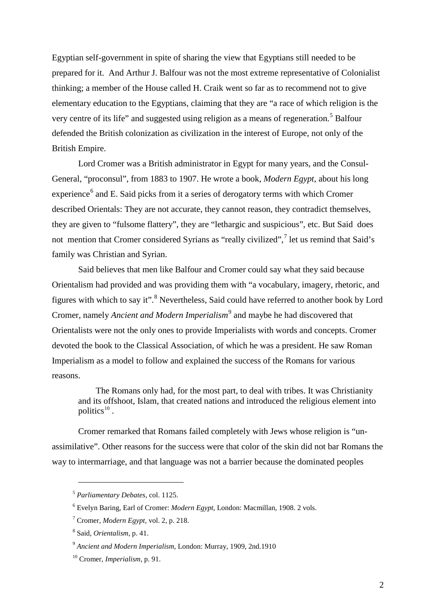Egyptian self-government in spite of sharing the view that Egyptians still needed to be prepared for it. And Arthur J. Balfour was not the most extreme representative of Colonialist thinking; a member of the House called H. Craik went so far as to recommend not to give elementary education to the Egyptians, claiming that they are "a race of which religion is the very centre of its life" and suggested using religion as a means of regeneration.<sup>[5](#page-1-0)</sup> Balfour defended the British colonization as civilization in the interest of Europe, not only of the British Empire.

Lord Cromer was a British administrator in Egypt for many years, and the Consul-General, "proconsul", from 1883 to 1907. He wrote a book, *Modern Egypt,* about his long experience<sup>[6](#page-1-1)</sup> and E. Said picks from it a series of derogatory terms with which Cromer described Orientals: They are not accurate, they cannot reason, they contradict themselves, they are given to "fulsome flattery", they are "lethargic and suspicious", etc. But Said does not mention that Cromer considered Syrians as "really civilized",<sup>[7](#page-1-2)</sup> let us remind that Said's family was Christian and Syrian.

Said believes that men like Balfour and Cromer could say what they said because Orientalism had provided and was providing them with "a vocabulary, imagery, rhetoric, and figures with which to say it".<sup>[8](#page-1-3)</sup> Nevertheless, Said could have referred to another book by Lord Cromer, namely *Ancient and Modern Imperialism*[9](#page-1-4) and maybe he had discovered that Orientalists were not the only ones to provide Imperialists with words and concepts. Cromer devoted the book to the Classical Association, of which he was a president. He saw Roman Imperialism as a model to follow and explained the success of the Romans for various reasons.

The Romans only had, for the most part, to deal with tribes. It was Christianity and its offshoot, Islam, that created nations and introduced the religious element into politics [10](#page-1-5) .

Cromer remarked that Romans failed completely with Jews whose religion is "unassimilative". Other reasons for the success were that color of the skin did not bar Romans the way to intermarriage, and that language was not a barrier because the dominated peoples

<span id="page-1-0"></span><sup>5</sup> *Parliamentary Debates*, col. 1125.

<span id="page-1-1"></span><sup>6</sup> Evelyn Baring, Earl of Cromer: *Modern Egypt*, London: Macmillan, 1908. 2 vols.

<span id="page-1-2"></span><sup>7</sup> Cromer, *Modern Egypt,* vol. 2, p. 218.

<span id="page-1-3"></span><sup>8</sup> Said, *Orientalism*, p. 41.

<span id="page-1-4"></span><sup>9</sup> *Ancient and Modern Imperialism*, London: Murray, 1909, 2nd.1910

<span id="page-1-5"></span><sup>10</sup> Cromer, *Imperialism*, p. 91.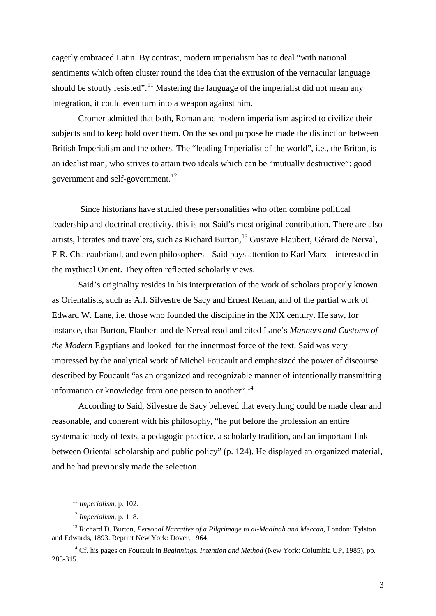eagerly embraced Latin. By contrast, modern imperialism has to deal "with national sentiments which often cluster round the idea that the extrusion of the vernacular language should be stoutly resisted".<sup>[11](#page-2-0)</sup> Mastering the language of the imperialist did not mean any integration, it could even turn into a weapon against him.

Cromer admitted that both, Roman and modern imperialism aspired to civilize their subjects and to keep hold over them. On the second purpose he made the distinction between British Imperialism and the others. The "leading Imperialist of the world", i.e., the Briton, is an idealist man, who strives to attain two ideals which can be "mutually destructive": good government and self-government.<sup>[12](#page-2-1)</sup>

Since historians have studied these personalities who often combine political leadership and doctrinal creativity, this is not Said's most original contribution. There are also artists, literates and travelers, such as Richard Burton,<sup>[13](#page-2-2)</sup> Gustave Flaubert, Gérard de Nerval, F-R. Chateaubriand, and even philosophers --Said pays attention to Karl Marx-- interested in the mythical Orient. They often reflected scholarly views.

Said's originality resides in his interpretation of the work of scholars properly known as Orientalists, such as A.I. Silvestre de Sacy and Ernest Renan, and of the partial work of Edward W. Lane, i.e. those who founded the discipline in the XIX century. He saw, for instance, that Burton, Flaubert and de Nerval read and cited Lane's *Manners and Customs of the Modern* Egyptians and looked for the innermost force of the text. Said was very impressed by the analytical work of Michel Foucault and emphasized the power of discourse described by Foucault "as an organized and recognizable manner of intentionally transmitting information or knowledge from one person to another".<sup>[14](#page-2-3)</sup>

According to Said, Silvestre de Sacy believed that everything could be made clear and reasonable, and coherent with his philosophy, "he put before the profession an entire systematic body of texts, a pedagogic practice, a scholarly tradition, and an important link between Oriental scholarship and public policy" (p. 124). He displayed an organized material, and he had previously made the selection.

<sup>11</sup> *Imperialism*, p. 102.

<sup>12</sup> *Imperialism*, p. 118.

<span id="page-2-2"></span><span id="page-2-1"></span><span id="page-2-0"></span><sup>13</sup> Richard D. Burton, *Personal Narrative of a Pilgrimage to al-Madinah and Meccah*, London: Tylston and Edwards, 1893. Reprint New York: Dover, 1964.

<span id="page-2-3"></span><sup>&</sup>lt;sup>14</sup> Cf. his pages on Foucault in *Beginnings. Intention and Method* (New York: Columbia UP, 1985), pp. 283-315.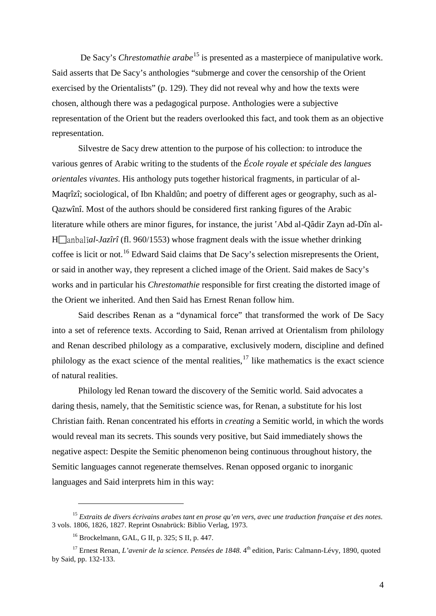De Sacy's *Chrestomathie arabe*<sup>[15](#page-3-0)</sup> is presented as a masterpiece of manipulative work. Said asserts that De Sacy's anthologies "submerge and cover the censorship of the Orient exercised by the Orientalists" (p. 129). They did not reveal why and how the texts were chosen, although there was a pedagogical purpose. Anthologies were a subjective representation of the Orient but the readers overlooked this fact, and took them as an objective representation.

Silvestre de Sacy drew attention to the purpose of his collection: to introduce the various genres of Arabic writing to the students of the *École royale et spéciale des langues orientales vivantes*. His anthology puts together historical fragments, in particular of al-Maqrîzî; sociological, of Ibn Khaldûn; and poetry of different ages or geography, such as al-Qazwînî. Most of the authors should be considered first ranking figures of the Arabic literature while others are minor figures, for instance, the jurist 'Abd al-Qâdir Zayn ad-Dîn al- $H$ anbal $\hat{i}al$ *-Jazîrî* (fl. 960/1553) whose fragment deals with the issue whether drinking coffee is licit or not.<sup>[16](#page-3-1)</sup> Edward Said claims that De Sacy's selection misrepresents the Orient, or said in another way, they represent a cliched image of the Orient. Said makes de Sacy's works and in particular his *Chrestomathie* responsible for first creating the distorted image of the Orient we inherited. And then Said has Ernest Renan follow him.

Said describes Renan as a "dynamical force" that transformed the work of De Sacy into a set of reference texts. According to Said, Renan arrived at Orientalism from philology and Renan described philology as a comparative, exclusively modern, discipline and defined philology as the exact science of the mental realities,<sup>[17](#page-3-2)</sup> like mathematics is the exact science of natural realities.

Philology led Renan toward the discovery of the Semitic world. Said advocates a daring thesis, namely, that the Semitistic science was, for Renan, a substitute for his lost Christian faith. Renan concentrated his efforts in *creating* a Semitic world, in which the words would reveal man its secrets. This sounds very positive, but Said immediately shows the negative aspect: Despite the Semitic phenomenon being continuous throughout history, the Semitic languages cannot regenerate themselves. Renan opposed organic to inorganic languages and Said interprets him in this way:

<span id="page-3-0"></span><sup>15</sup> *Extraits de divers écrivains arabes tant en prose qu'en vers, avec une traduction française et des notes*. 3 vols. 1806, 1826, 1827. Reprint Osnabrück: Biblio Verlag, 1973.

<sup>16</sup> Brockelmann, GAL, G II, p. 325; S II, p. 447.

<span id="page-3-2"></span><span id="page-3-1"></span><sup>&</sup>lt;sup>17</sup> Ernest Renan, *L'avenir de la science. Pensées de 1848*. 4<sup>th</sup> edition, Paris: Calmann-Lévy, 1890, quoted by Said, pp. 132-133.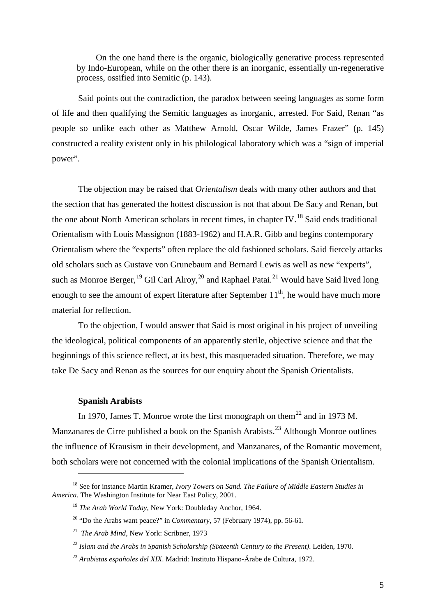On the one hand there is the organic, biologically generative process represented by Indo-European, while on the other there is an inorganic, essentially un-regenerative process, ossified into Semitic (p. 143).

Said points out the contradiction, the paradox between seeing languages as some form of life and then qualifying the Semitic languages as inorganic, arrested. For Said, Renan "as people so unlike each other as Matthew Arnold, Oscar Wilde, James Frazer" (p. 145) constructed a reality existent only in his philological laboratory which was a "sign of imperial power".

The objection may be raised that *Orientalism* deals with many other authors and that the section that has generated the hottest discussion is not that about De Sacy and Renan, but the one about North American scholars in recent times, in chapter IV.<sup>[18](#page-4-0)</sup> Said ends traditional Orientalism with Louis Massignon (1883-1962) and H.A.R. Gibb and begins contemporary Orientalism where the "experts" often replace the old fashioned scholars. Said fiercely attacks old scholars such as Gustave von Grunebaum and Bernard Lewis as well as new "experts", such as Monroe Berger, <sup>[19](#page-4-1)</sup> Gil Carl Alroy, <sup>[20](#page-4-2)</sup> and Raphael Patai.<sup>[21](#page-4-3)</sup> Would have Said lived long enough to see the amount of expert literature after September  $11<sup>th</sup>$ , he would have much more material for reflection.

To the objection, I would answer that Said is most original in his project of unveiling the ideological, political components of an apparently sterile, objective science and that the beginnings of this science reflect, at its best, this masqueraded situation. Therefore, we may take De Sacy and Renan as the sources for our enquiry about the Spanish Orientalists.

### **Spanish Arabists**

-

In 1970, James T. Monroe wrote the first monograph on them<sup>[22](#page-4-4)</sup> and in 1973 M. Manzanares de Cirre published a book on the Spanish Arabists.<sup>[23](#page-4-5)</sup> Although Monroe outlines the influence of Krausism in their development, and Manzanares, of the Romantic movement, both scholars were not concerned with the colonial implications of the Spanish Orientalism.

<span id="page-4-3"></span><span id="page-4-2"></span><span id="page-4-1"></span><span id="page-4-0"></span><sup>18</sup> See for instance Martin Kramer, *Ivory Towers on Sand. The Failure of Middle Eastern Studies in America.* The Washington Institute for Near East Policy, 2001.

<sup>19</sup> *The Arab World Today*, New York: Doubleday Anchor, 1964.

<sup>20</sup> "Do the Arabs want peace?" in *Commentary*, 57 (February 1974), pp. 56-61.

<sup>21</sup> *The Arab Mind*, New York: Scribner, 1973

<span id="page-4-4"></span><sup>22</sup> *Islam and the Arabs in Spanish Scholarship (Sixteenth Century to the Present)*. Leiden, 1970.

<span id="page-4-5"></span><sup>23</sup> *Arabistas españoles del XIX*. Madrid: Instituto Hispano-Árabe de Cultura, 1972.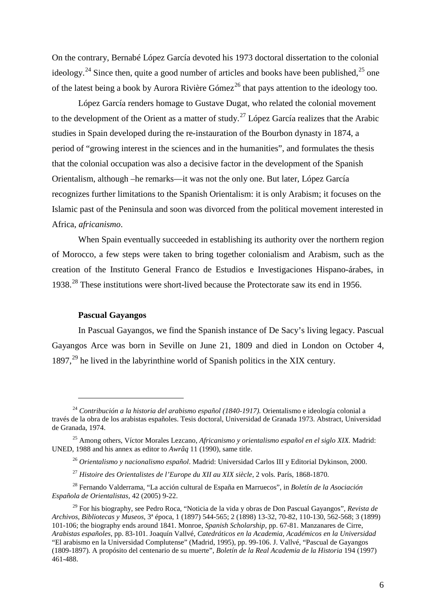On the contrary, Bernabé López García devoted his 1973 doctoral dissertation to the colonial ideology.<sup>[24](#page-5-0)</sup> Since then, quite a good number of articles and books have been published,<sup>[25](#page-5-1)</sup> one of the latest being a book by Aurora Rivière Gómez<sup>[26](#page-5-2)</sup> that pays attention to the ideology too.

López García renders homage to Gustave Dugat, who related the colonial movement to the development of the Orient as a matter of study.<sup>[27](#page-5-3)</sup> López García realizes that the Arabic studies in Spain developed during the re-instauration of the Bourbon dynasty in 1874, a period of "growing interest in the sciences and in the humanities", and formulates the thesis that the colonial occupation was also a decisive factor in the development of the Spanish Orientalism, although –he remarks—it was not the only one. But later, López García recognizes further limitations to the Spanish Orientalism: it is only Arabism; it focuses on the Islamic past of the Peninsula and soon was divorced from the political movement interested in Africa, *africanismo*.

When Spain eventually succeeded in establishing its authority over the northern region of Morocco, a few steps were taken to bring together colonialism and Arabism, such as the creation of the Instituto General Franco de Estudios e Investigaciones Hispano-árabes, in 1938.<sup>[28](#page-5-4)</sup> These institutions were short-lived because the Protectorate saw its end in 1956.

## **Pascual Gayangos**

-

In Pascual Gayangos, we find the Spanish instance of De Sacy's living legacy. Pascual Gayangos Arce was born in Seville on June 21, 1809 and died in London on October 4, 1897,<sup>[29](#page-5-5)</sup> he lived in the labyrinthine world of Spanish politics in the XIX century.

<span id="page-5-0"></span><sup>24</sup> *Contribución a la historia del arabismo español (1840-1917).* Orientalismo e ideología colonial a través de la obra de los arabistas españoles. Tesis doctoral, Universidad de Granada 1973. Abstract, Universidad de Granada, 1974.

<span id="page-5-2"></span><span id="page-5-1"></span><sup>25</sup> Among others, Víctor Morales Lezcano, *Africanismo y orientalismo español en el siglo XIX.* Madrid: UNED, 1988 and his annex as editor to *Awrâq* 11 (1990), same title.

<sup>26</sup> *Orientalismo y nacionalismo español*. Madrid: Universidad Carlos III y Editorial Dykinson, 2000.

<sup>27</sup> *Histoire des Orientalistes de l'Europe du XII au XIX siècle*, 2 vols. París, 1868-1870.

<span id="page-5-4"></span><span id="page-5-3"></span><sup>28</sup> Fernando Valderrama, "La acción cultural de España en Marruecos", in *Boletín de la Asociación Española de Orientalistas,* 42 (2005) 9-22.

<span id="page-5-5"></span><sup>29</sup> For his biography, see Pedro Roca, "Noticia de la vida y obras de Don Pascual Gayangos", *Revista de Archivos, Bibliotecas y Museos*, 3ª época, 1 (1897) 544-565; 2 (1898) 13-32, 70-82, 110-130, 562-568; 3 (1899) 101-106; the biography ends around 1841. Monroe, *Spanish Scholarship,* pp. 67-81. Manzanares de Cirre, *Arabistas españoles*, pp. 83-101. Joaquín Vallvé, *Catedráticos en la Academia, Académicos en la Universidad*  "El arabismo en la Universidad Complutense" (Madrid, 1995), pp. 99-106. J. Vallvé, "Pascual de Gayangos (1809-1897). A propósito del centenario de su muerte", *Boletín de la Real Academia de la Historia* 194 (1997) 461-488.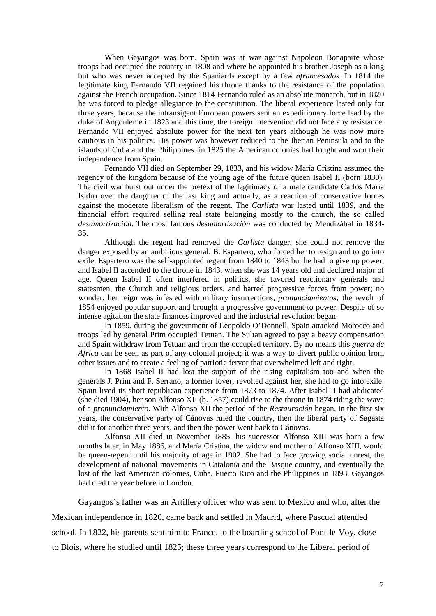When Gayangos was born, Spain was at war against Napoleon Bonaparte whose troops had occupied the country in 1808 and where he appointed his brother Joseph as a king but who was never accepted by the Spaniards except by a few *afrancesados*. In 1814 the legitimate king Fernando VII regained his throne thanks to the resistance of the population against the French occupation. Since 1814 Fernando ruled as an absolute monarch, but in 1820 he was forced to pledge allegiance to the constitution. The liberal experience lasted only for three years, because the intransigent European powers sent an expeditionary force lead by the duke of Angouleme in 1823 and this time, the foreign intervention did not face any resistance. Fernando VII enjoyed absolute power for the next ten years although he was now more cautious in his politics. His power was however reduced to the Iberian Peninsula and to the islands of Cuba and the Philippines: in 1825 the American colonies had fought and won their independence from Spain.

Fernando VII died on September 29, 1833, and his widow María Cristina assumed the regency of the kingdom because of the young age of the future queen Isabel II (born 1830). The civil war burst out under the pretext of the legitimacy of a male candidate Carlos María Isidro over the daughter of the last king and actually, as a reaction of conservative forces against the moderate liberalism of the regent. The *Carlista* war lasted until 1839, and the financial effort required selling real state belonging mostly to the church, the so called *desamortización*. The most famous *desamortización* was conducted by Mendizábal in 1834- 35.

Although the regent had removed the *Carlista* danger, she could not remove the danger exposed by an ambitious general, B. Espartero, who forced her to resign and to go into exile. Espartero was the self-appointed regent from 1840 to 1843 but he had to give up power, and Isabel II ascended to the throne in 1843, when she was 14 years old and declared major of age. Queen Isabel II often interfered in politics, she favored reactionary generals and statesmen, the Church and religious orders, and barred progressive forces from power; no wonder, her reign was infested with military insurrections, *pronunciamientos;* the revolt of 1854 enjoyed popular support and brought a progressive government to power. Despite of so intense agitation the state finances improved and the industrial revolution began.

In 1859, during the government of Leopoldo O'Donnell, Spain attacked Morocco and troops led by general Prim occupied Tetuan. The Sultan agreed to pay a heavy compensation and Spain withdraw from Tetuan and from the occupied territory. By no means this *guerra de Africa* can be seen as part of any colonial project; it was a way to divert public opinion from other issues and to create a feeling of patriotic fervor that overwhelmed left and right.

In 1868 Isabel II had lost the support of the rising capitalism too and when the generals J. Prim and F. Serrano, a former lover, revolted against her, she had to go into exile. Spain lived its short republican experience from 1873 to 1874. After Isabel II had abdicated (she died 1904), her son Alfonso XII (b. 1857) could rise to the throne in 1874 riding the wave of a *pronunciamiento*. With Alfonso XII the period of the *Restauración* began, in the first six years, the conservative party of Cánovas ruled the country, then the liberal party of Sagasta did it for another three years, and then the power went back to Cánovas.

Alfonso XII died in November 1885, his successor Alfonso XIII was born a few months later, in May 1886, and María Cristina, the widow and mother of Alfonso XIII, would be queen-regent until his majority of age in 1902. She had to face growing social unrest, the development of national movements in Catalonia and the Basque country, and eventually the lost of the last American colonies, Cuba, Puerto Rico and the Philippines in 1898. Gayangos had died the year before in London.

Gayangos's father was an Artillery officer who was sent to Mexico and who, after the Mexican independence in 1820, came back and settled in Madrid, where Pascual attended school. In 1822, his parents sent him to France, to the boarding school of Pont-le-Voy, close to Blois, where he studied until 1825; these three years correspond to the Liberal period of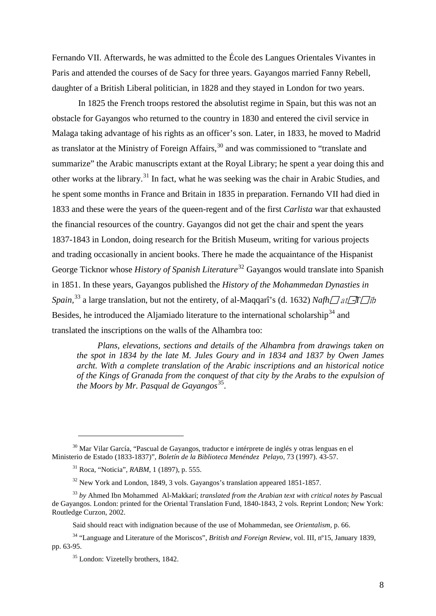Fernando VII. Afterwards, he was admitted to the École des Langues Orientales Vivantes in Paris and attended the courses of de Sacy for three years. Gayangos married Fanny Rebell, daughter of a British Liberal politician, in 1828 and they stayed in London for two years.

In 1825 the French troops restored the absolutist regime in Spain, but this was not an obstacle for Gayangos who returned to the country in 1830 and entered the civil service in Malaga taking advantage of his rights as an officer's son. Later, in 1833, he moved to Madrid as translator at the Ministry of Foreign Affairs,<sup>[30](#page-7-0)</sup> and was commissioned to "translate and summarize" the Arabic manuscripts extant at the Royal Library; he spent a year doing this and other works at the library.<sup>[31](#page-7-1)</sup> In fact, what he was seeking was the chair in Arabic Studies, and he spent some months in France and Britain in 1835 in preparation. Fernando VII had died in 1833 and these were the years of the queen-regent and of the first *Carlista* war that exhausted the financial resources of the country. Gayangos did not get the chair and spent the years 1837-1843 in London, doing research for the British Museum, writing for various projects and trading occasionally in ancient books. There he made the acquaintance of the Hispanist George Ticknor whose *History of Spanish Literature*<sup>[32](#page-7-2)</sup> Gayangos would translate into Spanish in 1851. In these years, Gayangos published the *History of the Mohammedan Dynasties in Spain*,<sup>[33](#page-7-3)</sup> a large translation, but not the entirety, of al-Maqqarî's (d. 1632) *Nafh* at F*T* at Besides, he introduced the Aljamiado literature to the international scholarship<sup>[34](#page-7-4)</sup> and translated the inscriptions on the walls of the Alhambra too:

*Plans, elevations, sections and details of the Alhambra from drawings taken on the spot in 1834 by the late M. Jules Goury and in 1834 and 1837 by Owen James archt. With a complete translation of the Arabic inscriptions and an historical notice of the Kings of Granada from the conquest of that city by the Arabs to the expulsion of the Moors by Mr. Pasqual de Gayangos* [35](#page-7-5) .

<span id="page-7-1"></span><span id="page-7-0"></span><sup>&</sup>lt;sup>30</sup> Mar Vilar García, "Pascual de Gavangos, traductor e intérprete de inglés y otras lenguas en el Ministerio de Estado (1833-1837)", *Boletín de la Biblioteca Menéndez Pelayo,* 73 (1997). 43-57.

<sup>31</sup> Roca, "Noticia", *RABM*, 1 (1897), p. 555.

<sup>&</sup>lt;sup>32</sup> New York and London, 1849, 3 vols. Gayangos's translation appeared 1851-1857.

<span id="page-7-3"></span><span id="page-7-2"></span><sup>33</sup> *by* Ahmed Ibn Mohammed Al-Makkarí; *translated from the Arabian text with critical notes by* Pascual de Gayangos. London: printed for the Oriental Translation Fund, 1840-1843, 2 vols. Reprint London; New York: Routledge Curzon, 2002.

Said should react with indignation because of the use of Mohammedan, see *Orientalism,* p. 66.

<span id="page-7-5"></span><span id="page-7-4"></span><sup>34</sup> "Language and Literature of the Moriscos", *British and Foreign Review*, vol. III, nº15, January 1839, pp. 63-95.

<sup>&</sup>lt;sup>35</sup> London: Vizetelly brothers, 1842.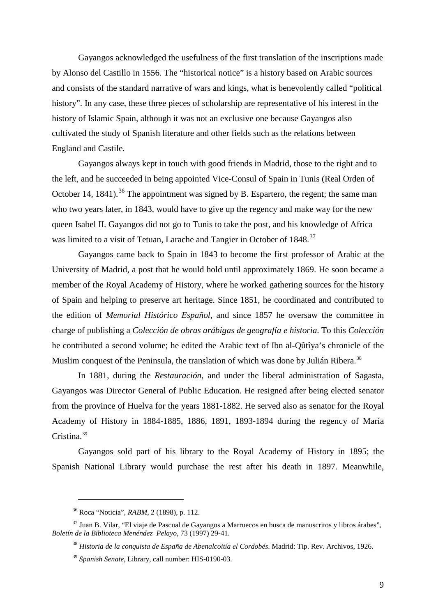Gayangos acknowledged the usefulness of the first translation of the inscriptions made by Alonso del Castillo in 1556. The "historical notice" is a history based on Arabic sources and consists of the standard narrative of wars and kings, what is benevolently called "political history". In any case, these three pieces of scholarship are representative of his interest in the history of Islamic Spain, although it was not an exclusive one because Gayangos also cultivated the study of Spanish literature and other fields such as the relations between England and Castile.

Gayangos always kept in touch with good friends in Madrid, those to the right and to the left, and he succeeded in being appointed Vice-Consul of Spain in Tunis (Real Orden of October 14, 1841).<sup>[36](#page-8-0)</sup> The appointment was signed by B. Espartero, the regent; the same man who two years later, in 1843, would have to give up the regency and make way for the new queen Isabel II. Gayangos did not go to Tunis to take the post, and his knowledge of Africa was limited to a visit of Tetuan, Larache and Tangier in October of 1848.<sup>[37](#page-8-1)</sup>

Gayangos came back to Spain in 1843 to become the first professor of Arabic at the University of Madrid, a post that he would hold until approximately 1869. He soon became a member of the Royal Academy of History, where he worked gathering sources for the history of Spain and helping to preserve art heritage. Since 1851, he coordinated and contributed to the edition of *Memorial Histórico Español*, and since 1857 he oversaw the committee in charge of publishing a *Colección de obras arábigas de geografía e historia*. To this *Colección*  he contributed a second volume; he edited the Arabic text of Ibn al-Qûtîya's chronicle of the Muslim conquest of the Peninsula, the translation of which was done by Julián Ribera.<sup>[38](#page-8-2)</sup>

In 1881, during the *Restauración*, and under the liberal administration of Sagasta, Gayangos was Director General of Public Education. He resigned after being elected senator from the province of Huelva for the years 1881-1882. He served also as senator for the Royal Academy of History in 1884-1885, 1886, 1891, 1893-1894 during the regency of María Cristina. [39](#page-8-3)

Gayangos sold part of his library to the Royal Academy of History in 1895; the Spanish National Library would purchase the rest after his death in 1897. Meanwhile,

<sup>36</sup> Roca "Noticia", *RABM*, 2 (1898), p. 112.

<span id="page-8-3"></span><span id="page-8-2"></span><span id="page-8-1"></span><span id="page-8-0"></span> $37$  Juan B. Vilar, "El viaje de Pascual de Gayangos a Marruecos en busca de manuscritos y libros árabes", *Boletín de la Biblioteca Menéndez Pelayo*, 73 (1997) 29-41.

<sup>38</sup> *Historia de la conquista de España de Abenalcoitía el Cordobés*. Madrid: Tip. Rev. Archivos, 1926.

<sup>39</sup> *Spanish Senate*, Library, call number: HIS-0190-03.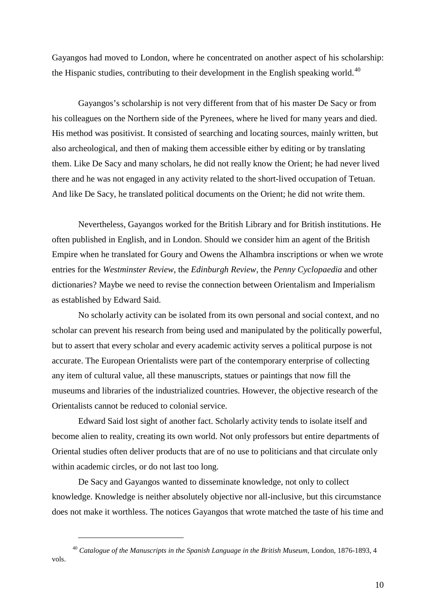Gayangos had moved to London, where he concentrated on another aspect of his scholarship: the Hispanic studies, contributing to their development in the English speaking world.<sup>[40](#page-9-0)</sup>

Gayangos's scholarship is not very different from that of his master De Sacy or from his colleagues on the Northern side of the Pyrenees, where he lived for many years and died. His method was positivist. It consisted of searching and locating sources, mainly written, but also archeological, and then of making them accessible either by editing or by translating them. Like De Sacy and many scholars, he did not really know the Orient; he had never lived there and he was not engaged in any activity related to the short-lived occupation of Tetuan. And like De Sacy, he translated political documents on the Orient; he did not write them.

Nevertheless, Gayangos worked for the British Library and for British institutions. He often published in English, and in London. Should we consider him an agent of the British Empire when he translated for Goury and Owens the Alhambra inscriptions or when we wrote entries for the *Westminster Review*, the *Edinburgh Review,* the *Penny Cyclopaedia* and other dictionaries? Maybe we need to revise the connection between Orientalism and Imperialism as established by Edward Said.

No scholarly activity can be isolated from its own personal and social context, and no scholar can prevent his research from being used and manipulated by the politically powerful, but to assert that every scholar and every academic activity serves a political purpose is not accurate. The European Orientalists were part of the contemporary enterprise of collecting any item of cultural value, all these manuscripts, statues or paintings that now fill the museums and libraries of the industrialized countries. However, the objective research of the Orientalists cannot be reduced to colonial service.

Edward Said lost sight of another fact. Scholarly activity tends to isolate itself and become alien to reality, creating its own world. Not only professors but entire departments of Oriental studies often deliver products that are of no use to politicians and that circulate only within academic circles, or do not last too long.

De Sacy and Gayangos wanted to disseminate knowledge, not only to collect knowledge. Knowledge is neither absolutely objective nor all-inclusive, but this circumstance does not make it worthless. The notices Gayangos that wrote matched the taste of his time and

<span id="page-9-0"></span><sup>40</sup> *Catalogue of the Manuscripts in the Spanish Language in the British Museum*, London, 1876-1893, 4 vols.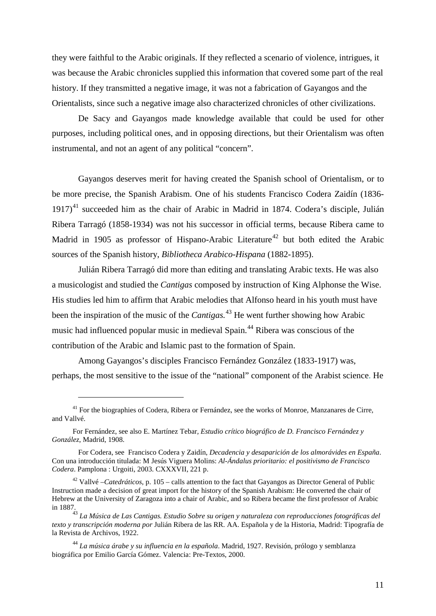they were faithful to the Arabic originals. If they reflected a scenario of violence, intrigues, it was because the Arabic chronicles supplied this information that covered some part of the real history. If they transmitted a negative image, it was not a fabrication of Gayangos and the Orientalists, since such a negative image also characterized chronicles of other civilizations.

De Sacy and Gayangos made knowledge available that could be used for other purposes, including political ones, and in opposing directions, but their Orientalism was often instrumental, and not an agent of any political "concern".

Gayangos deserves merit for having created the Spanish school of Orientalism, or to be more precise, the Spanish Arabism. One of his students Francisco Codera Zaidín (1836- 1917) [41](#page-10-0) succeeded him as the chair of Arabic in Madrid in 1874. Codera's disciple, Julián Ribera Tarragó (1858-1934) was not his successor in official terms, because Ribera came to Madrid in 1905 as professor of Hispano-Arabic Literature<sup>[42](#page-10-1)</sup> but both edited the Arabic sources of the Spanish history, *Bibliotheca Arabico-Hispana* (1882-1895).

Julián Ribera Tarragó did more than editing and translating Arabic texts. He was also a musicologist and studied the *Cantigas* composed by instruction of King Alphonse the Wise. His studies led him to affirm that Arabic melodies that Alfonso heard in his youth must have been the inspiration of the music of the *Cantigas.* [43](#page-10-2) He went further showing how Arabic music had influenced popular music in medieval Spain.<sup>[44](#page-10-3)</sup> Ribera was conscious of the contribution of the Arabic and Islamic past to the formation of Spain.

Among Gayangos's disciples Francisco Fernández González (1833-1917) was, perhaps, the most sensitive to the issue of the "national" component of the Arabist science. He

<span id="page-10-0"></span><sup>&</sup>lt;sup>41</sup> For the biographies of Codera, Ribera or Fernández, see the works of Monroe, Manzanares de Cirre, and Vallvé.

For Fernández, see also E. Martínez Tebar*, Estudio crítico biográfico de D. Francisco Fernández y González*, Madrid, 1908.

For Codera, see Francisco Codera y Zaidín, *Decadencia y desaparición de los almorávides en España*. Con una introducción titulada: M Jesús Viguera Molins: *Al-Ándalus prioritario: el positivismo de Francisco Codera*. Pamplona : Urgoiti, 2003. CXXXVII, 221 p.

<span id="page-10-1"></span><sup>42</sup> Vallvé –*Catedráticos*, p. 105 – calls attention to the fact that Gayangos as Director General of Public Instruction made a decision of great import for the history of the Spanish Arabism: He converted the chair of Hebrew at the University of Zaragoza into a chair of Arabic, and so Ribera became the first professor of Arabic in 1887.

<span id="page-10-2"></span><sup>43</sup> *La Música de Las Cantigas. Estudio Sobre su origen y naturaleza con reproducciones fotográficas del texto y transcripción moderna por* Julián Ribera de las RR. AA. Española y de la Historia, Madrid: Tipografía de la Revista de Archivos, 1922.

<span id="page-10-3"></span><sup>44</sup> *La música árabe y su influencia en la española*. Madrid, 1927. Revisión, prólogo y semblanza biográfica por Emilio García Gómez. Valencia: Pre-Textos, 2000.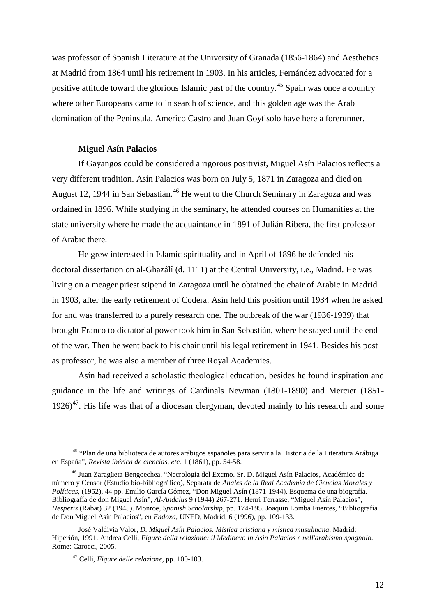was professor of Spanish Literature at the University of Granada (1856-1864) and Aesthetics at Madrid from 1864 until his retirement in 1903. In his articles, Fernández advocated for a positive attitude toward the glorious Islamic past of the country.<sup>[45](#page-11-0)</sup> Spain was once a country where other Europeans came to in search of science, and this golden age was the Arab domination of the Peninsula. Americo Castro and Juan Goytisolo have here a forerunner.

### **Miguel Asín Palacios**

If Gayangos could be considered a rigorous positivist, Miguel Asín Palacios reflects a very different tradition. Asín Palacios was born on July 5, 1871 in Zaragoza and died on August 12, 1944 in San Sebastián. [46](#page-11-1) He went to the Church Seminary in Zaragoza and was ordained in 1896. While studying in the seminary, he attended courses on Humanities at the state university where he made the acquaintance in 1891 of Julián Ribera, the first professor of Arabic there.

He grew interested in Islamic spirituality and in April of 1896 he defended his doctoral dissertation on al-Ghazâlî (d. 1111) at the Central University, i.e., Madrid. He was living on a meager priest stipend in Zaragoza until he obtained the chair of Arabic in Madrid in 1903, after the early retirement of Codera. Asín held this position until 1934 when he asked for and was transferred to a purely research one. The outbreak of the war (1936-1939) that brought Franco to dictatorial power took him in San Sebastián, where he stayed until the end of the war. Then he went back to his chair until his legal retirement in 1941. Besides his post as professor, he was also a member of three Royal Academies.

Asín had received a scholastic theological education, besides he found inspiration and guidance in the life and writings of Cardinals Newman (1801-1890) and Mercier (1851-  $1926$ <sup>[47](#page-11-2)</sup>. His life was that of a diocesan clergyman, devoted mainly to his research and some

<span id="page-11-0"></span> <sup>45</sup> "Plan de una biblioteca de autores arábigos españoles para servir a la Historia de la Literatura Arábiga en España", *Revista ibérica de ciencias, etc.* 1 (1861), pp. 54-58.

<span id="page-11-1"></span><sup>46</sup> Juan Zaragüeta Bengoechea, "Necrología del Excmo. Sr. D. Miguel Asín Palacios, Académico de número y Censor (Estudio bio-bibliográfico), Separata de *Anales de la Real Academia de Ciencias Morales y Políticas*, (1952), 44 pp. Emilio García Gómez, "Don Miguel Asín (1871-1944). Esquema de una biografía. Bibliografía de don Miguel Asín", *Al-Andalus* 9 (1944) 267-271. Henri Terrasse, "Miguel Asín Palacios", *Hesperis* (Rabat) 32 (1945). Monroe, *Spanish Scholarship*, pp. 174-195. Joaquín Lomba Fuentes, "Bibliografía de Don Miguel Asín Palacios", en *Endoxa*, UNED, Madrid, 6 (1996), pp. 109-133.

<span id="page-11-2"></span>José Valdivia Valor, *D. Miguel Asín Palacios. Mística cristiana y mística musulmana*. Madrid: Hiperión, 1991. Andrea Celli, *Figure della relazione: il Medioevo in Asin Palacios e nell'arabismo spagnolo*. Rome: Carocci, 2005.

<sup>47</sup> Celli, *Figure delle relazione*, pp. 100-103.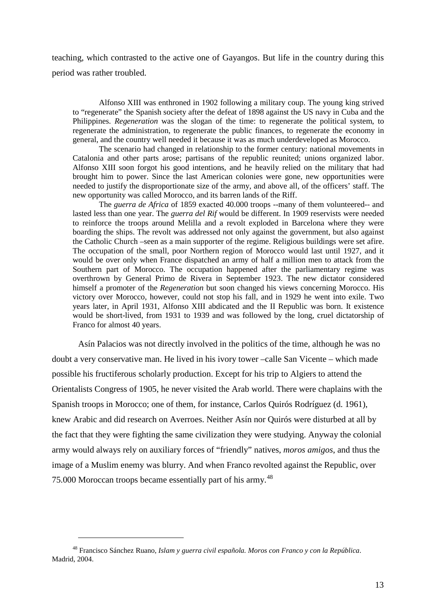teaching, which contrasted to the active one of Gayangos. But life in the country during this period was rather troubled.

Alfonso XIII was enthroned in 1902 following a military coup. The young king strived to "regenerate" the Spanish society after the defeat of 1898 against the US navy in Cuba and the Philippines. *Regeneration* was the slogan of the time: to regenerate the political system, to regenerate the administration, to regenerate the public finances, to regenerate the economy in general, and the country well needed it because it was as much underdeveloped as Morocco.

The scenario had changed in relationship to the former century: national movements in Catalonia and other parts arose; partisans of the republic reunited; unions organized labor. Alfonso XIII soon forgot his good intentions, and he heavily relied on the military that had brought him to power. Since the last American colonies were gone, new opportunities were needed to justify the disproportionate size of the army, and above all, of the officers' staff. The new opportunity was called Morocco, and its barren lands of the Riff.

The *guerra de Africa* of 1859 exacted 40.000 troops --many of them volunteered-- and lasted less than one year. The *guerra del Rif* would be different. In 1909 reservists were needed to reinforce the troops around Melilla and a revolt exploded in Barcelona where they were boarding the ships. The revolt was addressed not only against the government, but also against the Catholic Church –seen as a main supporter of the regime. Religious buildings were set afire. The occupation of the small, poor Northern region of Morocco would last until 1927, and it would be over only when France dispatched an army of half a million men to attack from the Southern part of Morocco. The occupation happened after the parliamentary regime was overthrown by General Primo de Rivera in September 1923. The new dictator considered himself a promoter of the *Regeneration* but soon changed his views concerning Morocco. His victory over Morocco, however, could not stop his fall, and in 1929 he went into exile. Two years later, in April 1931, Alfonso XIII abdicated and the II Republic was born. It existence would be short-lived, from 1931 to 1939 and was followed by the long, cruel dictatorship of Franco for almost 40 years.

Asín Palacios was not directly involved in the politics of the time, although he was no doubt a very conservative man. He lived in his ivory tower –calle San Vicente – which made possible his fructiferous scholarly production. Except for his trip to Algiers to attend the Orientalists Congress of 1905, he never visited the Arab world. There were chaplains with the Spanish troops in Morocco; one of them, for instance, Carlos Quirós Rodríguez (d. 1961), knew Arabic and did research on Averroes. Neither Asín nor Quirós were disturbed at all by the fact that they were fighting the same civilization they were studying. Anyway the colonial army would always rely on auxiliary forces of "friendly" natives, *moros amigos*, and thus the image of a Muslim enemy was blurry. And when Franco revolted against the Republic, over 75.000 Moroccan troops became essentially part of his army.<sup>[48](#page-12-0)</sup>

<span id="page-12-0"></span><sup>48</sup> Francisco Sánchez Ruano, *Islam y guerra civil española. Moros con Franco y con la República*. Madrid, 2004.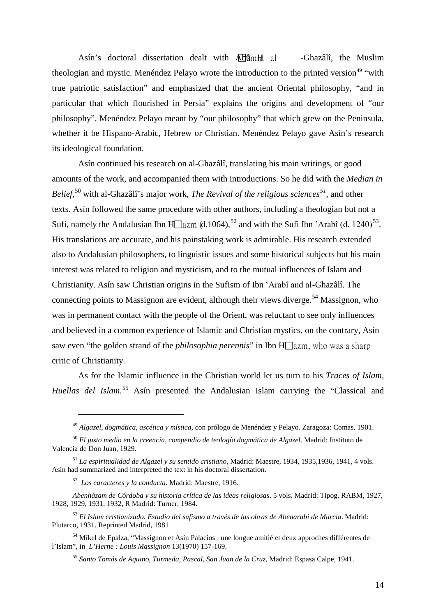Asín's doctoral dissertation dealt with **Abûment al** -Ghazâlî, the Muslim theologian and mystic. Menéndez Pelayo wrote the introduction to the printed version<sup>[49](#page-13-0)</sup> "with true patriotic satisfaction" and emphasized that the ancient Oriental philosophy, "and in particular that which flourished in Persia" explains the origins and development of "our philosophy". Menéndez Pelayo meant by "our philosophy" that which grew on the Peninsula, whether it be Hispano-Arabic, Hebrew or Christian. Menéndez Pelayo gave Asín's research its ideological foundation.

Asín continued his research on al-Ghazâlî, translating his main writings, or good amounts of the work, and accompanied them with introductions. So he did with the *Median in Belief,* [50](#page-13-1) with al-Ghazâlî's major work, *The Revival of the religious sciences[51](#page-13-2)*, and other texts. Asín followed the same procedure with other authors, including a theologian but not a Sufi, namely the Andalusian Ibn H $\Box$ azm (d.1064),<sup>[52](#page-13-3)</sup> and with the Sufi Ibn 'Arabî (d. 1240)<sup>53</sup>. His translations are accurate, and his painstaking work is admirable. His research extended also to Andalusian philosophers, to linguistic issues and some historical subjects but his main interest was related to religion and mysticism, and to the mutual influences of Islam and Christianity. Asín saw Christian origins in the Sufism of Ibn 'Arabî and al-Ghazâlî. The connecting points to Massignon are evident, although their views diverge.<sup>[54](#page-13-5)</sup> Massignon, who was in permanent contact with the people of the Orient, was reluctant to see only influences and believed in a common experience of Islamic and Christian mystics, on the contrary, Asín saw even "the golden strand of the *philosophia perennis*" in Ibn  $H\Box$  azm, who was a sharp critic of Christianity.

As for the Islamic influence in the Christian world let us turn to his *Traces of Islam,*  Huellas del Islam.<sup>[55](#page-13-6)</sup> Asín presented the Andalusian Islam carrying the "Classical and

<sup>49</sup> *Algazel, dogmática, ascética y mística,* con prólogo de Menéndez y Pelayo. Zaragoza: Comas, 1901.

<span id="page-13-1"></span><span id="page-13-0"></span><sup>50</sup> *El justo medio en la creencia, compendio de teología dogmática de Algazel*. Madrid: Instituto de Valencia de Don Juan, 1929.

<span id="page-13-2"></span><sup>51</sup> *La espiritualidad de Algazel y su sentido cristiano*, Madrid: Maestre, 1934, 1935,1936, 1941, 4 vols. Asín had summarized and interpreted the text in his doctoral dissertation.

<sup>52</sup> *Los caracteres y la conducta*. Madrid: Maestre, 1916.

<span id="page-13-3"></span>*Abenházam de Córdoba y su historia crítica de las ideas religiosas*. 5 vols. Madrid: Tipog. RABM, 1927, 1928, 1929, 1931, 1932, R Madrid: Turner, 1984.

<span id="page-13-4"></span><sup>53</sup> *El Islam cristianizado. Estudio del sufismo a través de las obras de Abenarabi de Murcia*. Madrid: Plutarco, 1931. Reprinted Madrid, 1981

<span id="page-13-6"></span><span id="page-13-5"></span><sup>54</sup> Míkel de Epalza, "Massignon et Asín Palacios : une longue amitié et deux approches différentes de l'Islam", in *L'Herne : Louis Massignon* 13(1970) 157-169.

<sup>55</sup> *Santo Tomás de Aquino, Turmeda, Pascal, San Juan de la Cruz*, Madrid: Espasa Calpe, 1941.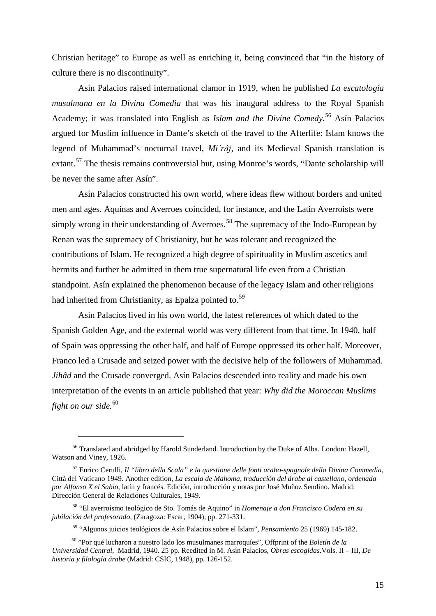Christian heritage" to Europe as well as enriching it, being convinced that "in the history of culture there is no discontinuity".

Asín Palacios raised international clamor in 1919, when he published *La escatología musulmana en la Divina Comedia* that was his inaugural address to the Royal Spanish Academy; it was translated into English as *Islam and the Divine Comedy.* [56](#page-14-0) Asín Palacios argued for Muslim influence in Dante's sketch of the travel to the Afterlife: Islam knows the legend of Muhammad's nocturnal travel, *Mi'râj*, and its Medieval Spanish translation is extant.<sup>[57](#page-14-1)</sup> The thesis remains controversial but, using Monroe's words, "Dante scholarship will be never the same after Asín".

Asín Palacios constructed his own world, where ideas flew without borders and united men and ages. Aquinas and Averroes coincided, for instance, and the Latin Averroists were simply wrong in their understanding of Averroes.<sup>[58](#page-14-2)</sup> The supremacy of the Indo-European by Renan was the supremacy of Christianity, but he was tolerant and recognized the contributions of Islam. He recognized a high degree of spirituality in Muslim ascetics and hermits and further he admitted in them true supernatural life even from a Christian standpoint. Asín explained the phenomenon because of the legacy Islam and other religions had inherited from Christianity, as Epalza pointed to.<sup>[59](#page-14-3)</sup>

Asín Palacios lived in his own world, the latest references of which dated to the Spanish Golden Age, and the external world was very different from that time. In 1940, half of Spain was oppressing the other half, and half of Europe oppressed its other half. Moreover, Franco led a Crusade and seized power with the decisive help of the followers of Muhammad. *Jihâd* and the Crusade converged. Asín Palacios descended into reality and made his own interpretation of the events in an article published that year: *Why did the Moroccan Muslims fight on our side.* [60](#page-14-4)

<span id="page-14-0"></span><sup>&</sup>lt;sup>56</sup> Translated and abridged by Harold Sunderland. Introduction by the Duke of Alba. London: Hazell, Watson and Viney, 1926.

<span id="page-14-1"></span><sup>57</sup> Enrico Cerulli, *Il "libro della Scala" e la questione delle fonti arabo-spagnole della Divina Commedia*, Città del Vaticano 1949. Another edition, *La escala de Mahoma, traducción del árabe al castellano, ordenada por Alfonso X el Sabio*, latín y francés. Edición, introducción y notas por José Muñoz Sendino. Madrid: Dirección General de Relaciones Culturales, 1949.

<span id="page-14-2"></span><sup>58</sup> "El averroísmo teológico de Sto. Tomás de Aquino" in *Homenaje a don Francisco Codera en su jubilación del profesorado*, (Zaragoza: Escar, 1904), pp. 271-331.

<sup>59</sup> "Algunos juicios teológicos de Asín Palacios sobre el Islam", *Pensamiento* 25 (1969) 145-182.

<span id="page-14-4"></span><span id="page-14-3"></span><sup>60</sup> "Por qué lucharon a nuestro lado los musulmanes marroquíes", Offprint of the *Boletín de la Universidad Central,* Madrid, 1940. 25 pp. Reedited in M. Asín Palacios, *Obras escogidas*.Vols. II – III, *De historia y filología árabe* (Madrid: CSIC, 1948), pp. 126-152.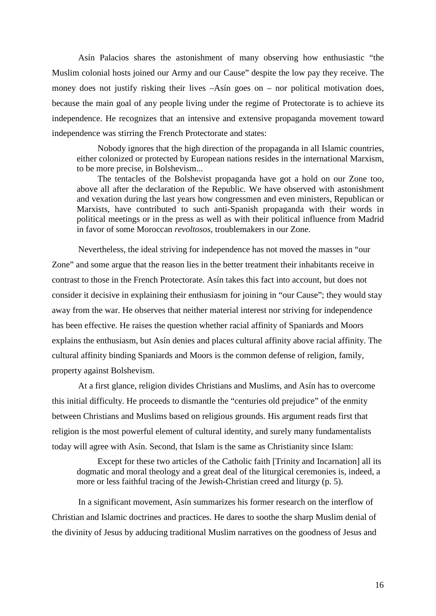Asín Palacios shares the astonishment of many observing how enthusiastic "the Muslim colonial hosts joined our Army and our Cause" despite the low pay they receive. The money does not justify risking their lives  $-A\sin$  goes on – nor political motivation does, because the main goal of any people living under the regime of Protectorate is to achieve its independence. He recognizes that an intensive and extensive propaganda movement toward independence was stirring the French Protectorate and states:

Nobody ignores that the high direction of the propaganda in all Islamic countries, either colonized or protected by European nations resides in the international Marxism, to be more precise, in Bolshevism...

The tentacles of the Bolshevist propaganda have got a hold on our Zone too, above all after the declaration of the Republic. We have observed with astonishment and vexation during the last years how congressmen and even ministers, Republican or Marxists, have contributed to such anti-Spanish propaganda with their words in political meetings or in the press as well as with their political influence from Madrid in favor of some Moroccan *revoltosos,* troublemakers in our Zone.

Nevertheless, the ideal striving for independence has not moved the masses in "our Zone" and some argue that the reason lies in the better treatment their inhabitants receive in contrast to those in the French Protectorate. Asín takes this fact into account, but does not consider it decisive in explaining their enthusiasm for joining in "our Cause"; they would stay away from the war. He observes that neither material interest nor striving for independence has been effective. He raises the question whether racial affinity of Spaniards and Moors explains the enthusiasm, but Asín denies and places cultural affinity above racial affinity. The cultural affinity binding Spaniards and Moors is the common defense of religion, family, property against Bolshevism.

At a first glance, religion divides Christians and Muslims, and Asín has to overcome this initial difficulty. He proceeds to dismantle the "centuries old prejudice" of the enmity between Christians and Muslims based on religious grounds. His argument reads first that religion is the most powerful element of cultural identity, and surely many fundamentalists today will agree with Asín. Second, that Islam is the same as Christianity since Islam:

Except for these two articles of the Catholic faith [Trinity and Incarnation] all its dogmatic and moral theology and a great deal of the liturgical ceremonies is, indeed, a more or less faithful tracing of the Jewish-Christian creed and liturgy (p. 5).

In a significant movement, Asín summarizes his former research on the interflow of Christian and Islamic doctrines and practices. He dares to soothe the sharp Muslim denial of the divinity of Jesus by adducing traditional Muslim narratives on the goodness of Jesus and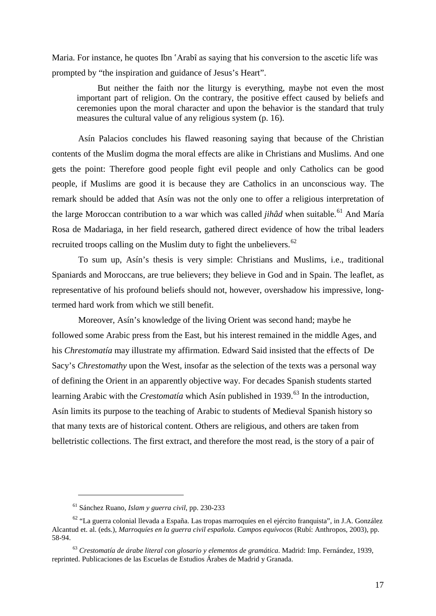Maria. For instance, he quotes Ibn 'Arabî as saying that his conversion to the ascetic life was prompted by "the inspiration and guidance of Jesus's Heart".

But neither the faith nor the liturgy is everything, maybe not even the most important part of religion. On the contrary, the positive effect caused by beliefs and ceremonies upon the moral character and upon the behavior is the standard that truly measures the cultural value of any religious system (p. 16).

Asín Palacios concludes his flawed reasoning saying that because of the Christian contents of the Muslim dogma the moral effects are alike in Christians and Muslims. And one gets the point: Therefore good people fight evil people and only Catholics can be good people, if Muslims are good it is because they are Catholics in an unconscious way. The remark should be added that Asín was not the only one to offer a religious interpretation of the large Moroccan contribution to a war which was called *jihâd* when suitable. [61](#page-16-0) And María Rosa de Madariaga, in her field research, gathered direct evidence of how the tribal leaders recruited troops calling on the Muslim duty to fight the unbelievers.<sup>[62](#page-16-1)</sup>

To sum up, Asín's thesis is very simple: Christians and Muslims, i.e., traditional Spaniards and Moroccans, are true believers; they believe in God and in Spain. The leaflet, as representative of his profound beliefs should not, however, overshadow his impressive, longtermed hard work from which we still benefit.

Moreover, Asín's knowledge of the living Orient was second hand; maybe he followed some Arabic press from the East, but his interest remained in the middle Ages, and his *Chrestomatía* may illustrate my affirmation. Edward Said insisted that the effects of De Sacy's *Chrestomathy* upon the West, insofar as the selection of the texts was a personal way of defining the Orient in an apparently objective way. For decades Spanish students started learning Arabic with the *Crestomatía* which Asín published in 1939.<sup>[63](#page-16-2)</sup> In the introduction, Asín limits its purpose to the teaching of Arabic to students of Medieval Spanish history so that many texts are of historical content. Others are religious, and others are taken from belletristic collections. The first extract, and therefore the most read, is the story of a pair of

<sup>61</sup> Sánchez Ruano, *Islam y guerra civil*, pp. 230-233

<span id="page-16-1"></span><span id="page-16-0"></span><sup>62</sup> "La guerra colonial llevada a España. Las tropas marroquíes en el ejército franquista", in J.A. González Alcantud et. al. (eds.), *Marroquíes en la guerra civil española. Campos equívocos* (Rubí: Anthropos, 2003), pp. 58-94.

<span id="page-16-2"></span><sup>63</sup> *Crestomatía de árabe literal con glosario y elementos de gramática*. Madrid: Imp. Fernández, 1939, reprinted. Publicaciones de las Escuelas de Estudios Árabes de Madrid y Granada.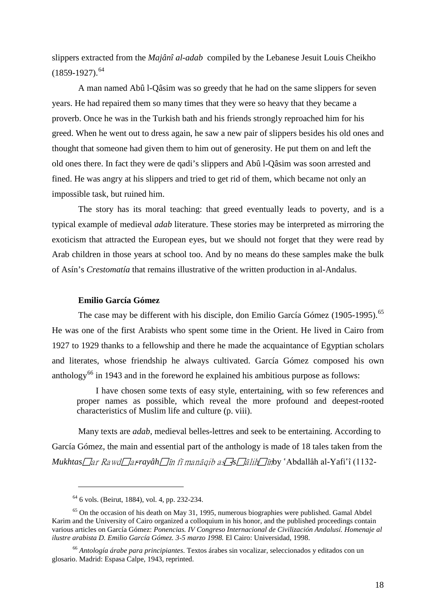slippers extracted from the *Majânî al-adab* compiled by the Lebanese Jesuit Louis Cheikho  $(1859-1927).<sup>64</sup>$  $(1859-1927).<sup>64</sup>$  $(1859-1927).<sup>64</sup>$ 

A man named Abû l-Qâsim was so greedy that he had on the same slippers for seven years. He had repaired them so many times that they were so heavy that they became a proverb. Once he was in the Turkish bath and his friends strongly reproached him for his greed. When he went out to dress again, he saw a new pair of slippers besides his old ones and thought that someone had given them to him out of generosity. He put them on and left the old ones there. In fact they were de qadi's slippers and Abû l-Qâsim was soon arrested and fined. He was angry at his slippers and tried to get rid of them, which became not only an impossible task, but ruined him.

The story has its moral teaching: that greed eventually leads to poverty, and is a typical example of medieval *adab* literature. These stories may be interpreted as mirroring the exoticism that attracted the European eyes, but we should not forget that they were read by Arab children in those years at school too. And by no means do these samples make the bulk of Asín's *Crestomatía* that remains illustrative of the written production in al-Andalus.

# **Emilio García Gómez**

The case may be different with his disciple, don Emilio García Gómez (1905-1995).<sup>[65](#page-17-1)</sup> He was one of the first Arabists who spent some time in the Orient. He lived in Cairo from 1927 to 1929 thanks to a fellowship and there he made the acquaintance of Egyptian scholars and literates, whose friendship he always cultivated. García Gómez composed his own anthology<sup>[66](#page-17-2)</sup> in 1943 and in the foreword he explained his ambitious purpose as follows:

I have chosen some texts of easy style, entertaining, with so few references and proper names as possible, which reveal the more profound and deepest-rooted characteristics of Muslim life and culture (p. viii).

Many texts are *adab*, medieval belles-lettres and seek to be entertaining. According to García Gómez, the main and essential part of the anthology is made of 18 tales taken from the *Mukhtas ar Rawd arayâh in fî manâqib as -s -salih* 7*în*by `Abdallâh al-Yafi`î (1132-

<sup>64</sup> 6 vols. (Beirut, 1884), vol. 4, pp. 232-234.

<span id="page-17-1"></span><span id="page-17-0"></span> $65$  On the occasion of his death on May 31, 1995, numerous biographies were published. Gamal Abdel Karim and the University of Cairo organized a colloquium in his honor, and the published proceedings contain various articles on García Gómez: *Ponencias. IV Congreso Internacional de Civilización Andalusí. Homenaje al ilustre arabista D. Emilio García Gómez. 3-5 marzo 1998.* El Cairo: Universidad, 1998.

<span id="page-17-2"></span><sup>66</sup> *Antología árabe para principiantes*. Textos árabes sin vocalizar, seleccionados y editados con un glosario. Madrid: Espasa Calpe, 1943, reprinted.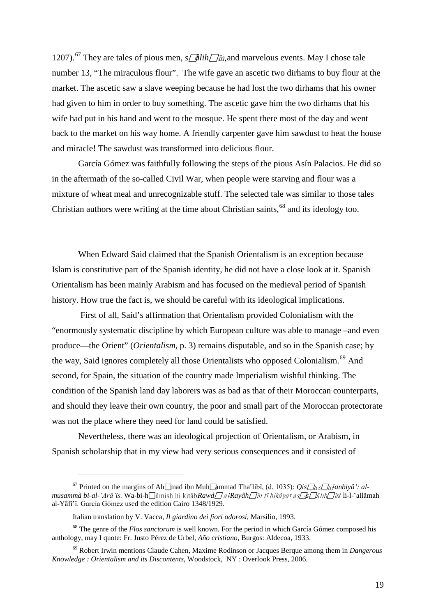1207).<sup>[67](#page-18-0)</sup> They are tales of pious men,  $s/dlih\Box\hat{n}$ , and marvelous events. May I chose tale number 13, "The miraculous flour". The wife gave an ascetic two dirhams to buy flour at the market. The ascetic saw a slave weeping because he had lost the two dirhams that his owner had given to him in order to buy something. The ascetic gave him the two dirhams that his wife had put in his hand and went to the mosque. He spent there most of the day and went back to the market on his way home. A friendly carpenter gave him sawdust to heat the house and miracle! The sawdust was transformed into delicious flour.

García Gómez was faithfully following the steps of the pious Asín Palacios. He did so in the aftermath of the so-called Civil War, when people were starving and flour was a mixture of wheat meal and unrecognizable stuff. The selected tale was similar to those tales Christian authors were writing at the time about Christian saints,<sup>[68](#page-18-1)</sup> and its ideology too.

When Edward Said claimed that the Spanish Orientalism is an exception because Islam is constitutive part of the Spanish identity, he did not have a close look at it. Spanish Orientalism has been mainly Arabism and has focused on the medieval period of Spanish history. How true the fact is, we should be careful with its ideological implications.

First of all, Said's affirmation that Orientalism provided Colonialism with the "enormously systematic discipline by which European culture was able to manage –and even produce—the Orient" (*Orientalism,* p. 3) remains disputable, and so in the Spanish case; by the way, Said ignores completely all those Orientalists who opposed Colonialism.<sup>[69](#page-18-2)</sup> And second, for Spain, the situation of the country made Imperialism wishful thinking. The condition of the Spanish land day laborers was as bad as that of their Moroccan counterparts, and should they leave their own country, the poor and small part of the Moroccan protectorate was not the place where they need for land could be satisfied.

Nevertheless, there was an ideological projection of Orientalism, or Arabism, in Spanish scholarship that in my view had very serious consequences and it consisted of

<span id="page-18-0"></span><sup>&</sup>lt;sup>67</sup> Printed on the margins of Ah $\Box$ mad ibn Muh $\Box$ ammad Tha'libî, (d. 1035): *Qis* $\Box$ as $\Box$ al-anbiyâ': al*musammà bi-al-'Arâ'is.* Wa-bi-h□âmishihi kitâb*Rawd□ al<sup>-</sup>Rayâh□în fî hikâyat as<sup>-</sup>s□âlih□în* li-l-'allâmah al-Yâfi'î. García Gómez used the edition Cairo 1348/1929.

Italian translation by V. Vacca, *Il giardino dei fiori odorosi*, Marsilio, 1993.

<span id="page-18-1"></span><sup>68</sup> The genre of the *Flos sanctorum* is well known. For the period in which García Gómez composed his anthology, may I quote: Fr. Justo Pérez de Urbel, *Año cristiano*, Burgos: Aldecoa, 1933.

<span id="page-18-2"></span><sup>69</sup> Robert Irwin mentions Claude Cahen, Maxime Rodinson or Jacques Berque among them in *Dangerous Knowledge : Orientalism and its Discontents*, Woodstock, NY : Overlook Press, 2006.